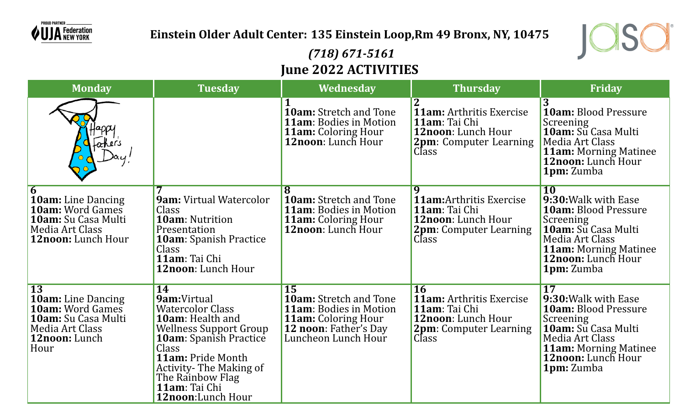

### **Einstein Older Adult Center: 135 Einstein Loop,Rm 49 Bronx, NY, 10475**



# *(718) 671-5161* **June 2022 ACTIVITIES**

| <b>Monday</b>                                                                                                                       | <b>Tuesday</b>                                                                                                                                                                                                                                                            | Wednesday                                                                                                                                                        | <b>Thursday</b>                                                                                                                             | <b>Friday</b>                                                                                                                                                                                            |
|-------------------------------------------------------------------------------------------------------------------------------------|---------------------------------------------------------------------------------------------------------------------------------------------------------------------------------------------------------------------------------------------------------------------------|------------------------------------------------------------------------------------------------------------------------------------------------------------------|---------------------------------------------------------------------------------------------------------------------------------------------|----------------------------------------------------------------------------------------------------------------------------------------------------------------------------------------------------------|
| <i><u>ahers</u></i>                                                                                                                 |                                                                                                                                                                                                                                                                           | 10am: Stretch and Tone<br><b>11am: Bodies in Motion</b><br><b>11am:</b> Coloring Hour<br><b>12noon:</b> Lunch Hour                                               | 11am: Arthritis Exercise<br>11am: Tai Chi<br>12noon: Lunch Hour<br><b>2pm:</b> Computer Learning<br>Class                                   | $\overline{3}$<br>10am: Blood Pressure<br>Screening<br>10am: Su Casa Multi<br>Media Art Class<br><b>11am: Morning Matinee</b><br>12noon: Lunch Hour<br><b>1pm:</b> Zumba                                 |
| 6<br>10am: Line Dancing<br><b>10am:</b> Word Games<br>10am: Su Casa Multi<br>Media Art Class<br><b>12noon:</b> Lunch Hour           | <b>9am: Virtual Watercolor</b><br>Class<br><b>10am: Nutrition</b><br>Presentation<br>10am: Spanish Practice<br>Class<br>11am: Tai Chi<br>12noon: Lunch Hour                                                                                                               | <b>10am:</b> Stretch and Tone<br><b>11am: Bodies in Motion</b><br><b>11am:</b> Coloring Hour<br>12noon: Lunch Hour                                               | $\overline{\mathbf{q}}$<br><b>11am:</b> Arthritis Exercise<br>11am: Tai Chi<br>12noon: Lunch Hour<br><b>2pm:</b> Computer Learning<br>Class | <b>10</b><br>9:30: Walk with Ease<br><b>10am:</b> Blood Pressure<br>Screening<br>10am: Su Casa Multi<br>Media Art Class<br><b>11am: Morning Matinee</b><br>12noon: Lunch Hour<br>1pm: Zumba              |
| $\overline{13}$<br>10am: Line Dancing<br><b>10am:</b> Word Games<br>10am: Su Casa Multi<br>Media Art Class<br>12noon: Lunch<br>Hour | <b>14</b><br>9am:Virtual<br><b>Watercolor Class</b><br><b>10am:</b> Health and<br><b>Wellness Support Group</b><br><b>10am:</b> Spanish Practice<br>Class<br>11am: Pride Month<br><b>Activity-The Making of</b><br>The Rainbow Flag<br>11am: Tai Chi<br>12noon:Lunch Hour | <b>15</b><br><b>10am:</b> Stretch and Tone<br><b>11am:</b> Bodies in Motion<br><b>11am:</b> Coloring Hour<br><b>12 noon: Father's Day</b><br>Luncheon Lunch Hour | <b>16</b><br><b>11am:</b> Arthritis Exercise<br>11am: Tai Chi<br><b>12noon:</b> Lunch Hour<br><b>2pm:</b> Computer Learning<br>Class        | $\overline{17}$<br>9:30: Walk with Ease<br><b>10am: Blood Pressure</b><br>Screening<br>10am: Su Casa Multi<br>Media Art Class<br><b>11am: Morning Matinee</b><br>12noon: Lunch Hour<br><b>1pm:</b> Zumba |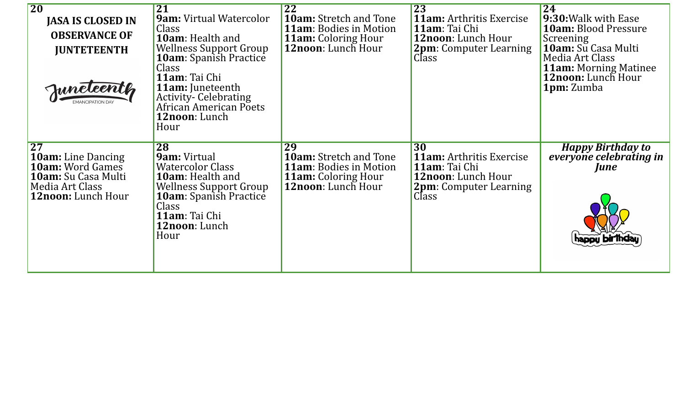| <b>20</b>                                                                                                                                             | <b>21</b>                                                                                                                                                                                              | 22                                                                                                                              | $\overline{23}$                                                                                                                | 24                                                                                                                |
|-------------------------------------------------------------------------------------------------------------------------------------------------------|--------------------------------------------------------------------------------------------------------------------------------------------------------------------------------------------------------|---------------------------------------------------------------------------------------------------------------------------------|--------------------------------------------------------------------------------------------------------------------------------|-------------------------------------------------------------------------------------------------------------------|
| <b>JASA IS CLOSED IN</b>                                                                                                                              | <b>9am: Virtual Watercolor</b>                                                                                                                                                                         | <b>10am:</b> Stretch and Tone                                                                                                   | <b>11am:</b> Arthritis Exercise                                                                                                | 9:30: Walk with Ease                                                                                              |
| <b>OBSERVANCE OF</b>                                                                                                                                  | Class<br><b>10am:</b> Health and                                                                                                                                                                       | <b>11am: Bodies in Motion</b><br><b>11am:</b> Coloring Hour                                                                     | 11am: Tai Chi<br><b>12noon:</b> Lunch Hour                                                                                     | <b>10am:</b> Blood Pressure<br>Screening                                                                          |
| <b>JUNTETEENTH</b><br>Juneleenth                                                                                                                      | <b>Wellness Support Group</b><br><b>10am</b> : Spanish Practice<br>Class<br>11am: Tai Chi<br><b>11am:</b> Juneteenth<br><b>Activity-Celebrating</b><br>African American Poets<br>12noon: Lunch<br>Hour | <b>12noon:</b> Lunch Hour                                                                                                       | <b>2pm</b> : Computer Learning<br><b>Class</b>                                                                                 | 10am: Su Casa Multi<br>Media Art Class<br><b>11am:</b> Morning Matinee<br>12noon: Lunch Hour<br><b>1pm:</b> Zumba |
| $\overline{27}$<br><b>10am:</b> Line Dancing<br><b>10am:</b> Word Games<br><b>10am:</b> Su Casa Multi<br>Media Art Class<br><b>12noon:</b> Lunch Hour | 28<br>9am: Virtual<br><b>Watercolor Class</b><br><b>10am:</b> Health and<br>Wellness Support Group<br><b>10am</b> : Spanish Practice<br>Class<br>11am: Tai Chi<br><b>12noon</b> : Lunch<br>Hour        | 29<br><b>10am:</b> Stretch and Tone<br><b>11am:</b> Bodies in Motion<br><b>11am:</b> Coloring Hour<br><b>12noon:</b> Lunch Hour | 30<br><b>11am:</b> Arthritis Exercise<br>11am: Tai Chi<br>12noon: Lunch Hour<br><b>2pm</b> : Computer Learning<br><b>Class</b> | <b>Happy Birthday to</b><br>everyone celebrating in<br><i>June</i>                                                |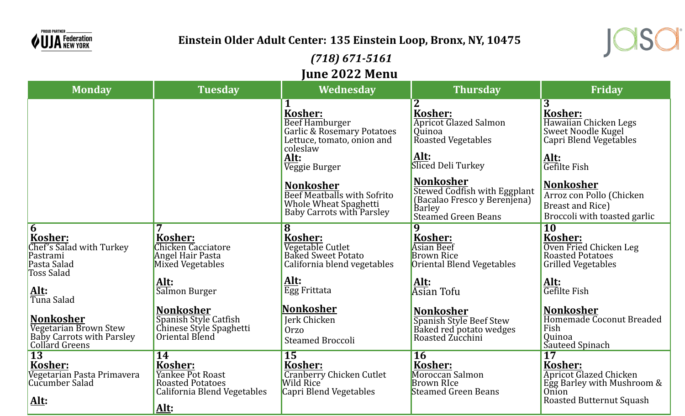

## **Einstein Older Adult Center: 135 Einstein Loop, Bronx, NY, 10475**

### *(718) 671-5161* **June 2022 Menu**

| <b>Monday</b>                                                                                  | <b>Tuesday</b>                                                                                             | JUNU <i>l</i> uzz richu<br><b>Wednesday</b>                                                                                            | <b>Thursday</b>                                                                                                     | <b>Friday</b>                                                                                                                                |
|------------------------------------------------------------------------------------------------|------------------------------------------------------------------------------------------------------------|----------------------------------------------------------------------------------------------------------------------------------------|---------------------------------------------------------------------------------------------------------------------|----------------------------------------------------------------------------------------------------------------------------------------------|
|                                                                                                |                                                                                                            | 1<br>Kosher:<br><b>Beef Hamburger</b><br>Garlic & Rosemary Potatoes<br>Lettuce, tomato, onion and<br>coleslaw<br>Alt:<br>Veggie Burger | Kosher:<br><b>Apricot Glazed Salmon</b><br><i><b>Ouinoa</b></i><br>Roasted Vegetables<br>Alt:<br>Sliced Deli Turkey | $\overline{3}$<br>Kosher:<br>Hawaiian Chicken Legs<br>Sweet Noodle Kugel<br>Capri Blend Vegetables<br>Alt:<br>Gefilte Fish                   |
|                                                                                                |                                                                                                            | <b>Nonkosher</b><br>Beef Meatballs with Sofrito<br>Whole Wheat Spaghetti<br><b>Baby Carrots with Parsley</b>                           | <b>Nonkosher</b><br>Stewed Codfish with Eggplant<br>(Bacalao Fresco y Berenjena)<br>Barley<br>Steamed Green Beans   | <b>Nonkosher</b><br>Arroz con Pollo (Chicken<br>Breast and Rice)<br>Broccoli with toasted garlic                                             |
| $\overline{6}$<br>Kosher:<br>Chef's Salad with Turkey<br>Pastrami<br>Pasta Salad<br>Toss Salad | Kosher:<br><b>Chicken Cacciatore</b><br><b>Angel Hair Pasta</b><br>Mixed Vegetables                        | $\overline{\mathbf{8}}$<br>Kosher:<br>Vegetable Cutlet<br><b>Baked Sweet Potato</b><br>California blend vegetables                     | 9<br>Kosher:<br><b>Asian Beef</b><br><b>Brown Rice</b><br>Oriental Blend Vegetables                                 | $\overline{10}$<br>Kosher:<br>Oven Fried Chicken Leg<br><b>Roasted Potatoes</b><br><b>Grilled Vegetables</b>                                 |
| <u>Alt:</u><br>Tuna Salad                                                                      | Alt:<br>Salmon Burger                                                                                      | Alt:<br>Egg Frittata                                                                                                                   | <u>Alt:</u><br>Asian Tofu                                                                                           | Alt:<br>Gefilte Fish                                                                                                                         |
| <b>Nonkosher</b><br>Vegetarian Brown Stew<br>Baby Carrots with Parsley<br>Collard Greens       | <b>Nonkosher</b><br>Spanish Style Catfish<br>Chinese Style Spaghetti<br>Oriental Blend                     | Nonkosher<br>Jerk Chicken<br><b>Orzo</b><br><b>Steamed Broccoli</b>                                                                    | <b>Nonkosher</b><br>Spanish Style Beef Stew<br>Baked red potato wedges<br>Roasted Zucchini                          | <b>Nonkosher</b><br>Homemade Coconut Breaded<br>Fish<br>Quinoa<br>Sauteed Spinach                                                            |
| <b>13</b><br>Kosher:<br>Vegetarian Pasta Primavera<br>Cucumber Salad<br>Alt:                   | 14<br><b>Kosher:</b><br>Yankee Pot Roast<br><b>Roasted Potatoes</b><br>California Blend Vegetables<br>Alt: | <b>15</b><br>Kosher:<br><b>Cranberry Chicken Cutlet</b><br>Wild Rice<br>Capri Blend Vegetables                                         | <b>16</b><br>Kosher:<br>Moroccan Salmon<br><b>Brown RIce</b><br><b>Steamed Green Beans</b>                          | $\overline{17}$<br>Kosher:<br><b>Apricot Glazed Chicken</b><br>Egg Barley with Mushroom &<br><b>Onion</b><br><b>Roasted Butternut Squash</b> |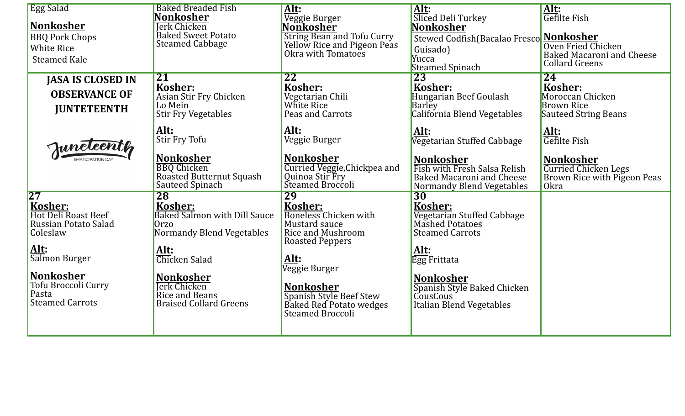| <b>Egg Salad</b>                            | <b>Baked Breaded Fish</b>                      | Alt:                                                                          | Alt:                                                          | Alt:                                                   |
|---------------------------------------------|------------------------------------------------|-------------------------------------------------------------------------------|---------------------------------------------------------------|--------------------------------------------------------|
| <b>Nonkosher</b>                            | Nonkosher<br>Jerk Chicken                      | Veggie Burger<br>Nonkosher                                                    | Sliced Deli Turkey<br>Nonkosher                               | Gefilte Fish                                           |
| <b>BBQ Pork Chops</b>                       | Baked Sweet Potato                             | String Bean and Tofu Curry<br>Yellow Rice and Pigeon Peas                     | Stewed Codfish(Bacalao Fresco Monkosher                       |                                                        |
| <b>White Rice</b>                           | <b>Steamed Cabbage</b>                         | Okra with Tomatoes                                                            | Guisado)                                                      | Oven Fried Chicken<br><b>Baked Macaroni and Cheese</b> |
| <b>Steamed Kale</b>                         |                                                |                                                                               | Yucca<br>Steamed Spinach                                      | <b>Collard Greens</b>                                  |
| <b>JASA IS CLOSED IN</b>                    | <b>21</b>                                      | $\overline{22}$                                                               | 23                                                            | 24                                                     |
| <b>OBSERVANCE OF</b>                        | <b>Kosher:</b>                                 | Kosher:                                                                       | Kosher:                                                       | Kosher:                                                |
|                                             | Asian Stir Fry Chicken<br>Lo Mein              | Vegetarian Chili<br>White Rice                                                | Hungarian Beef Goulash<br><b>Barley</b>                       | Moroccan Chicken<br><b>Brown Rice</b>                  |
| <b>JUNTETEENTH</b>                          | <b>Stir Fry Vegetables</b>                     | Peas and Carrots                                                              | California Blend Vegetables                                   | <b>Sauteed String Beans</b>                            |
|                                             | Alt:                                           | Alt:                                                                          | Alt:                                                          |                                                        |
| Juneteenth                                  | Stir Fry Tofu                                  | Veggie Burger                                                                 | Vegetarian Stuffed Cabbage                                    | Alt:<br>Gefilte Fish                                   |
|                                             | <b>Nonkosher</b>                               | <b>Nonkosher</b>                                                              | Nonkosher                                                     | <b>Nonkosher</b>                                       |
|                                             | <b>BBQ</b> Chicken<br>Roasted Butternut Squash | Curried Veggie, Chickpea and<br>Quinoa Stir Fry                               | Fish with Fresh Salsa Relish                                  | <b>Curried Chicken Legs</b>                            |
|                                             | Sauteed Spinach                                | Steamed Broccoli                                                              | <b>Baked Macaroni and Cheese</b><br>Normandy Blend Vegetables | Brown Rice with Pigeon Peas<br>Okra                    |
| 27                                          | 28                                             | 29                                                                            | 30                                                            |                                                        |
| Kosher:                                     | Kosher:                                        | Kosher:                                                                       | Kosher:                                                       |                                                        |
| Hot Deli Roast Beef<br>Russian Potato Salad | Baked Salmon with Dill Sauce<br>Orzo           | <b>Boneless Chicken with</b><br>Mustard sauce                                 | Vegetarian Stuffed Cabbage<br>Mashed Potatoes                 |                                                        |
| Coleslaw                                    | Normandy Blend Vegetables                      | <b>Rice and Mushroom</b>                                                      | <b>Steamed Carrots</b>                                        |                                                        |
| Alt:                                        |                                                | <b>Roasted Peppers</b>                                                        |                                                               |                                                        |
| Salmon Burger                               | Alt:<br>Chicken Salad                          | Alt:                                                                          | Alt:<br>Egg Frittata                                          |                                                        |
|                                             |                                                | Veggie Burger                                                                 |                                                               |                                                        |
| <b>Nonkosher</b>                            | <b>Nonkosher</b>                               |                                                                               | <b>Nonkosher</b>                                              |                                                        |
| Tofu Broccoli Curry<br>Pasta                | <b>Jerk Chicken</b><br>Rice and Beans          | <b>Nonkosher</b>                                                              | Spanish Style Baked Chicken<br>CousCous                       |                                                        |
| <b>Steamed Carrots</b>                      | <b>Braised Collard Greens</b>                  | Spanish Style Beef Stew<br>Baked Red Potato wedges<br><b>Steamed Broccoli</b> | Italian Blend Vegetables                                      |                                                        |
|                                             |                                                |                                                                               |                                                               |                                                        |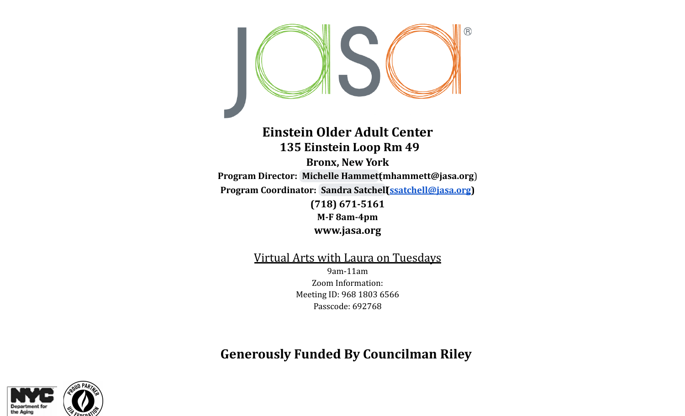

### **Einstein Older Adult Center 135 Einstein Loop Rm 49 Bronx, New York Program Director: Michelle [Hammett](mailto:mhammett@jasa.org)**(**mhammett@jasa.org**) **Program Coordinator: Sandra [Satchell\(ssatchell@jasa.org](mailto:ssatchell@jasa.org)) (718) 671-5161 M-F 8am-4pm www.jasa.org**

Virtual Arts with Laura on Tuesdays 9am-11am Zoom Information: Meeting ID: 968 1803 6566 Passcode: 692768

**Generously Funded By Councilman Riley**